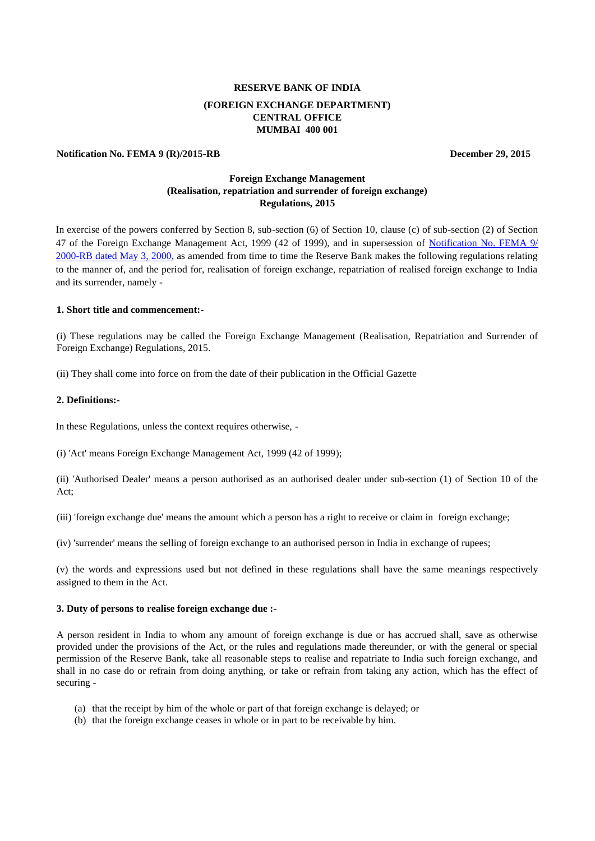# **RESERVE BANK OF INDIA (FOREIGN EXCHANGE DEPARTMENT) CENTRAL OFFICE MUMBAI 400 001**

#### **Notification No. FEMA 9 (R)/2015-RB** December 29, 2015

# **Foreign Exchange Management (Realisation, repatriation and surrender of foreign exchange) Regulations, 2015**

In exercise of the powers conferred by Section 8, sub-section (6) of Section 10, clause (c) of sub-section (2) of Section 47 of the Foreign Exchange Management Act, 1999 (42 of 1999), and in supersession of Notification No. FEMA 9/ [2000-RB dated May 3, 2000,](https://www.rbi.org.in/Scripts/BS_FemaNotifications.aspx?Id=163) as amended from time to time the Reserve Bank makes the following regulations relating to the manner of, and the period for, realisation of foreign exchange, repatriation of realised foreign exchange to India and its surrender, namely -

#### **1. Short title and commencement:-**

(i) These regulations may be called the Foreign Exchange Management (Realisation, Repatriation and Surrender of Foreign Exchange) Regulations, 2015.

(ii) They shall come into force on from the date of their publication in the Official Gazette

#### **2. Definitions:-**

In these Regulations, unless the context requires otherwise, -

(i) 'Act' means Foreign Exchange Management Act, 1999 (42 of 1999);

(ii) 'Authorised Dealer' means a person authorised as an authorised dealer under sub-section (1) of Section 10 of the Act;

(iii) 'foreign exchange due' means the amount which a person has a right to receive or claim in foreign exchange;

(iv) 'surrender' means the selling of foreign exchange to an authorised person in India in exchange of rupees;

(v) the words and expressions used but not defined in these regulations shall have the same meanings respectively assigned to them in the Act.

#### **3. Duty of persons to realise foreign exchange due :-**

A person resident in India to whom any amount of foreign exchange is due or has accrued shall, save as otherwise provided under the provisions of the Act, or the rules and regulations made thereunder, or with the general or special permission of the Reserve Bank, take all reasonable steps to realise and repatriate to India such foreign exchange, and shall in no case do or refrain from doing anything, or take or refrain from taking any action, which has the effect of securing -

- (a) that the receipt by him of the whole or part of that foreign exchange is delayed; or
- (b) that the foreign exchange ceases in whole or in part to be receivable by him.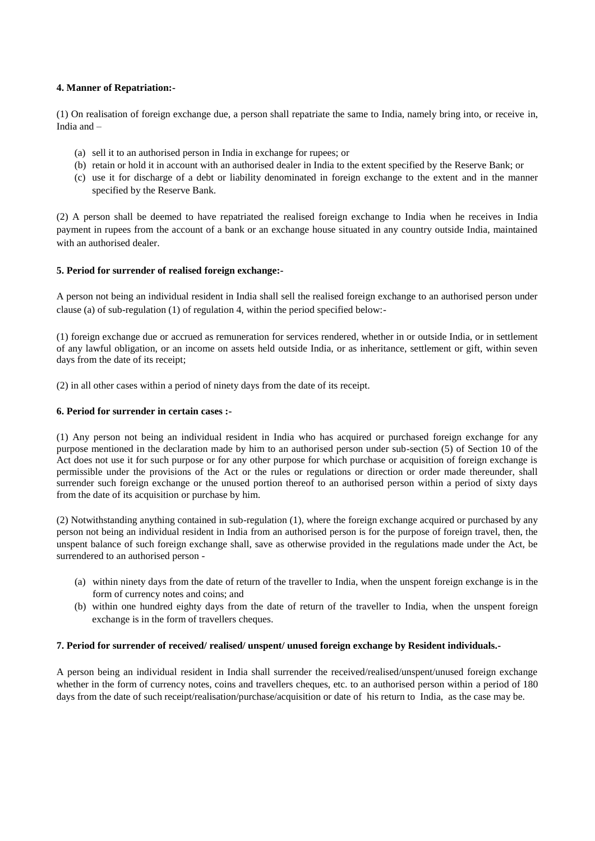### **4. Manner of Repatriation:-**

(1) On realisation of foreign exchange due, a person shall repatriate the same to India, namely bring into, or receive in, India and –

- (a) sell it to an authorised person in India in exchange for rupees; or
- (b) retain or hold it in account with an authorised dealer in India to the extent specified by the Reserve Bank; or
- (c) use it for discharge of a debt or liability denominated in foreign exchange to the extent and in the manner specified by the Reserve Bank.

(2) A person shall be deemed to have repatriated the realised foreign exchange to India when he receives in India payment in rupees from the account of a bank or an exchange house situated in any country outside India, maintained with an authorised dealer.

### **5. Period for surrender of realised foreign exchange:-**

A person not being an individual resident in India shall sell the realised foreign exchange to an authorised person under clause (a) of sub-regulation (1) of regulation 4, within the period specified below:-

(1) foreign exchange due or accrued as remuneration for services rendered, whether in or outside India, or in settlement of any lawful obligation, or an income on assets held outside India, or as inheritance, settlement or gift, within seven days from the date of its receipt;

(2) in all other cases within a period of ninety days from the date of its receipt.

### **6. Period for surrender in certain cases :-**

(1) Any person not being an individual resident in India who has acquired or purchased foreign exchange for any purpose mentioned in the declaration made by him to an authorised person under sub-section (5) of Section 10 of the Act does not use it for such purpose or for any other purpose for which purchase or acquisition of foreign exchange is permissible under the provisions of the Act or the rules or regulations or direction or order made thereunder, shall surrender such foreign exchange or the unused portion thereof to an authorised person within a period of sixty days from the date of its acquisition or purchase by him.

(2) Notwithstanding anything contained in sub-regulation (1), where the foreign exchange acquired or purchased by any person not being an individual resident in India from an authorised person is for the purpose of foreign travel, then, the unspent balance of such foreign exchange shall, save as otherwise provided in the regulations made under the Act, be surrendered to an authorised person -

- (a) within ninety days from the date of return of the traveller to India, when the unspent foreign exchange is in the form of currency notes and coins; and
- (b) within one hundred eighty days from the date of return of the traveller to India, when the unspent foreign exchange is in the form of travellers cheques.

### **7. Period for surrender of received/ realised/ unspent/ unused foreign exchange by Resident individuals.-**

A person being an individual resident in India shall surrender the received/realised/unspent/unused foreign exchange whether in the form of currency notes, coins and travellers cheques, etc. to an authorised person within a period of 180 days from the date of such receipt/realisation/purchase/acquisition or date of his return to India, as the case may be.